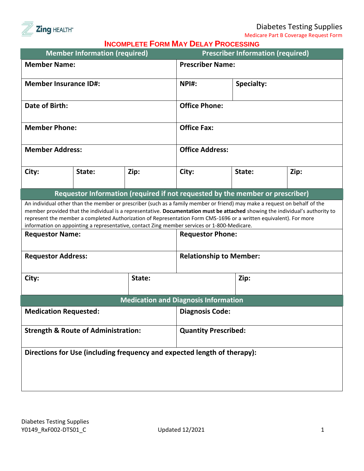

Medicare Part B Coverage Request Form

|  |  | <b>INCOMPLETE FORM MAY DELAY PROCESSING</b> |
|--|--|---------------------------------------------|
|  |  |                                             |

|                                                     | <b>Member Information (required)</b> |        | <b>INCOMPLETE LONWIMAT DELAT L'AOGESSING</b>                                                                           | <b>Prescriber Information (required)</b>                                                                                                                                                                                                                                         |                                                                                                                               |  |  |
|-----------------------------------------------------|--------------------------------------|--------|------------------------------------------------------------------------------------------------------------------------|----------------------------------------------------------------------------------------------------------------------------------------------------------------------------------------------------------------------------------------------------------------------------------|-------------------------------------------------------------------------------------------------------------------------------|--|--|
| <b>Member Name:</b>                                 |                                      |        |                                                                                                                        | <b>Prescriber Name:</b>                                                                                                                                                                                                                                                          |                                                                                                                               |  |  |
|                                                     | <b>Member Insurance ID#:</b>         |        |                                                                                                                        | NPI#:<br><b>Specialty:</b>                                                                                                                                                                                                                                                       |                                                                                                                               |  |  |
|                                                     |                                      |        |                                                                                                                        |                                                                                                                                                                                                                                                                                  |                                                                                                                               |  |  |
| Date of Birth:                                      |                                      |        |                                                                                                                        | <b>Office Phone:</b>                                                                                                                                                                                                                                                             |                                                                                                                               |  |  |
| <b>Member Phone:</b>                                |                                      |        |                                                                                                                        | <b>Office Fax:</b>                                                                                                                                                                                                                                                               |                                                                                                                               |  |  |
|                                                     |                                      |        |                                                                                                                        |                                                                                                                                                                                                                                                                                  |                                                                                                                               |  |  |
| <b>Member Address:</b>                              |                                      |        |                                                                                                                        | <b>Office Address:</b>                                                                                                                                                                                                                                                           |                                                                                                                               |  |  |
| City:                                               | State:                               | Zip:   | City:                                                                                                                  | State:                                                                                                                                                                                                                                                                           | Zip:                                                                                                                          |  |  |
| <b>Requestor Name:</b><br><b>Requestor Address:</b> |                                      |        | information on appointing a representative, contact Zing member services or 1-800-Medicare.<br><b>Requestor Phone:</b> | An individual other than the member or prescriber (such as a family member or friend) may make a request on behalf of the<br>represent the member a completed Authorization of Representation Form CMS-1696 or a written equivalent). For more<br><b>Relationship to Member:</b> | member provided that the individual is a representative. Documentation must be attached showing the individual's authority to |  |  |
|                                                     |                                      |        |                                                                                                                        |                                                                                                                                                                                                                                                                                  |                                                                                                                               |  |  |
| City:                                               |                                      | State: |                                                                                                                        |                                                                                                                                                                                                                                                                                  | Zip:                                                                                                                          |  |  |
|                                                     |                                      |        | <b>Medication and Diagnosis Information</b>                                                                            |                                                                                                                                                                                                                                                                                  |                                                                                                                               |  |  |
|                                                     | <b>Medication Requested:</b>         |        |                                                                                                                        | <b>Diagnosis Code:</b>                                                                                                                                                                                                                                                           |                                                                                                                               |  |  |
| <b>Strength &amp; Route of Administration:</b>      |                                      |        |                                                                                                                        | <b>Quantity Prescribed:</b>                                                                                                                                                                                                                                                      |                                                                                                                               |  |  |
|                                                     |                                      |        | Directions for Use (including frequency and expected length of therapy):                                               |                                                                                                                                                                                                                                                                                  |                                                                                                                               |  |  |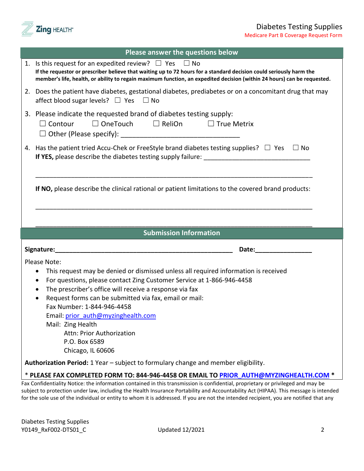

Medicare Part B Coverage Request Form

| Please answer the questions below                                                                                                                                                                                                                                                                                  |
|--------------------------------------------------------------------------------------------------------------------------------------------------------------------------------------------------------------------------------------------------------------------------------------------------------------------|
| 1. Is this request for an expedited review? $\Box$ Yes $\Box$ No<br>If the requestor or prescriber believe that waiting up to 72 hours for a standard decision could seriously harm the<br>member's life, health, or ability to regain maximum function, an expedited decision (within 24 hours) can be requested. |
| 2. Does the patient have diabetes, gestational diabetes, prediabetes or on a concomitant drug that may<br>affect blood sugar levels? $\Box$ Yes $\Box$ No                                                                                                                                                          |
| 3. Please indicate the requested brand of diabetes testing supply:<br>$\Box$ Contour $\Box$ OneTouch $\Box$ ReliOn $\Box$ True Metrix                                                                                                                                                                              |
| 4. Has the patient tried Accu-Chek or FreeStyle brand diabetes testing supplies? $\Box$ Yes $\Box$ No                                                                                                                                                                                                              |
| If NO, please describe the clinical rational or patient limitations to the covered brand products:                                                                                                                                                                                                                 |
|                                                                                                                                                                                                                                                                                                                    |
|                                                                                                                                                                                                                                                                                                                    |
| <b>Submission Information</b>                                                                                                                                                                                                                                                                                      |
|                                                                                                                                                                                                                                                                                                                    |
| Date: the contract of the contract of the contract of the contract of the contract of the contract of the contract of the contract of the contract of the contract of the contract of the contract of the contract of the cont                                                                                     |
| Please Note:                                                                                                                                                                                                                                                                                                       |
| This request may be denied or dismissed unless all required information is received                                                                                                                                                                                                                                |
| For questions, please contact Zing Customer Service at 1-866-946-4458<br>$\bullet$                                                                                                                                                                                                                                 |
| The prescriber's office will receive a response via fax<br>$\bullet$                                                                                                                                                                                                                                               |
| Request forms can be submitted via fax, email or mail:<br>$\bullet$                                                                                                                                                                                                                                                |
| Fax Number: 1-844-946-4458                                                                                                                                                                                                                                                                                         |
| Email: prior_auth@myzinghealth.com                                                                                                                                                                                                                                                                                 |
| Mail: Zing Health                                                                                                                                                                                                                                                                                                  |
| <b>Attn: Prior Authorization</b>                                                                                                                                                                                                                                                                                   |
| P.O. Box 6589                                                                                                                                                                                                                                                                                                      |
| Chicago, IL 60606                                                                                                                                                                                                                                                                                                  |
| Authorization Period: 1 Year - subject to formulary change and member eligibility.                                                                                                                                                                                                                                 |
| * PLEASE FAX COMPLETED FORM TO: 844-946-4458 OR EMAIL TO PRIOR AUTH@MYZINGHEALTH.COM *                                                                                                                                                                                                                             |

subject to protection under law, including the Health Insurance Portability and Accountability Act (HIPAA). This message is intended for the sole use of the individual or entity to whom it is addressed. If you are not the intended recipient, you are notified that any

Diabetes Testing Supplies Y0149\_RxF002-DTS01\_C Updated 12/2021 2